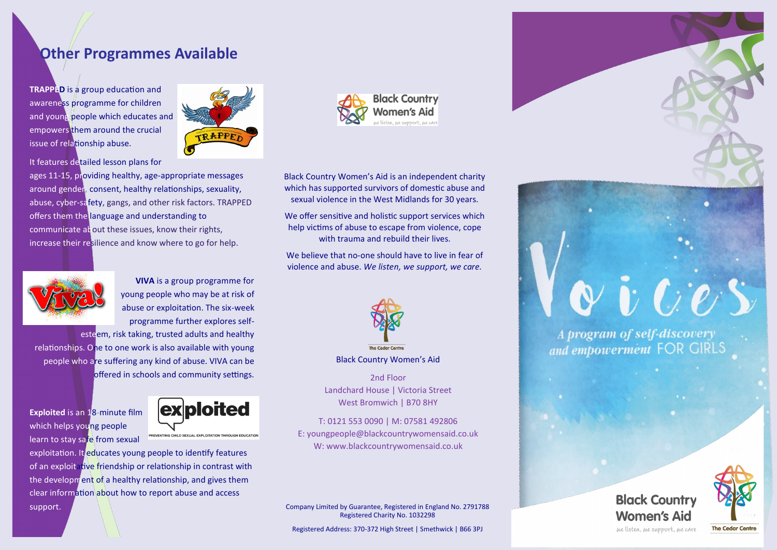## **Other Programmes Available**

**TRAPPED** is a group education and awareness programme for children and young people which educates and empowers them around the crucial issue of relationship abuse.



It features detailed lesson plans for

ages 11-15, providing healthy, age-appropriate messages around gender, consent, healthy relationships, sexuality, abuse, cyber-safety, gangs, and other risk factors. TRAPPED offers them the language and understanding to communicate about these issues, know their rights, increase their resilience and know where to go for help.



**VIVA** is a group programme for young people who may be at risk of abuse or exploitation. The six-week programme further explores self-

esteem, risk taking, trusted adults and healthy relationships. One to one work is also available with young people who are suffering any kind of abuse. VIVA can be offered in schools and community settings.

**Exploited** is an 18-minute film which helps young people learn to stay safe from sexual



exploitation. It educates young people to identify features of an exploitative friendship or relationship in contrast with the development of a healthy relationship, and gives them clear information about how to report abuse and access support.



Black Country Women's Aid is an independent charity which has supported survivors of domestic abuse and sexual violence in the West Midlands for 30 years.

We offer sensitive and holistic support services which help victims of abuse to escape from violence, cope with trauma and rebuild their lives.

We believe that no-one should have to live in fear of violence and abuse. *We listen, we support, we care.*



Black Country Women's Aid

2nd Floor Landchard House | Victoria Street West Bromwich | B70 8HY

T: 0121 553 0090 | M: 07581 492806 E: youngpeople@blackcountrywomensaid.co.uk W: www.blackcountrywomensaid.co.uk

Company Limited by Guarantee, Registered in England No. 2791788 Registered Charity No. 1032298

Registered Address: 370-372 High Street | Smethwick | B66 3PJ



and empowerment FOR GIRLS

**Black Country Women's Aid** we listen, we support, we care